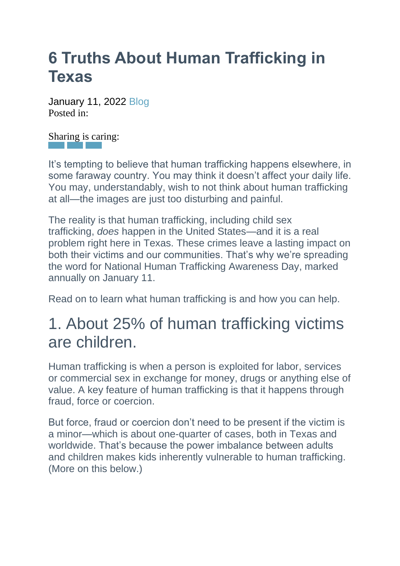# **6 Truths About Human Trafficking in Texas**

January 11, 2022 [Blog](https://upbring.org/6-truths-about-human-trafficking-in-texas/) Posted in $\cdot$ 

[Shar](https://www.facebook.com/sharer.php?u=https://upbring.org/6-truths-about-human-trafficking-in-texas/&t=6%20Truths%20About%20Human%20Trafficking%20in%20Texas)[ing i](https://twitter.com/intent/tweet?text=Currently%20reading%206%20Truths%20About%20Human%20Trafficking%20in%20Texas&url=https://upbring.org/6-truths-about-human-trafficking-in-texas/)[s car](mailto:?subject=I%20wanted%20to%20share%20this%20post%20with%20you%20from%20Upbring&body=6%20Truths%20About%20Human%20Trafficking%20in%20Texas%20%20https://upbring.org/6-truths-about-human-trafficking-in-texas/)ing:

It's tempting to believe that human trafficking happens elsewhere, in some faraway country. You may think it doesn't affect your daily life. You may, understandably, wish to not think about human trafficking at all—the images are just too disturbing and painful.

The reality is that human trafficking, including child sex trafficking, *does* happen in the United States—and it is a real problem right here in Texas. These crimes leave a lasting impact on both their victims and our communities. That's why we're spreading the word for National Human Trafficking Awareness Day, marked annually on January 11.

Read on to learn what human trafficking is and how you can help.

# 1. About 25% of human trafficking victims are children.

Human trafficking is when a person is exploited for labor, services or commercial sex in exchange for money, drugs or anything else of value. A key feature of human trafficking is that it happens through fraud, force or coercion.

But force, fraud or coercion don't need to be present if the victim is a minor—which is about one-quarter of cases, both in Texas and worldwide. That's because the power imbalance between adults and children makes kids inherently vulnerable to human trafficking. (More on this below.)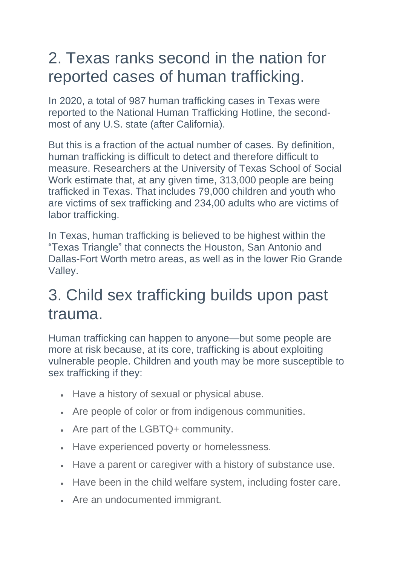# 2. Texas ranks second in the nation for reported cases of human trafficking.

In 2020, a total of 987 human trafficking cases in Texas were reported to the National Human Trafficking Hotline, the secondmost of any U.S. state (after California).

But this is a fraction of the actual number of cases. By definition, human trafficking is difficult to detect and therefore difficult to measure. Researchers at the University of Texas School of Social Work estimate that, at any given time, 313,000 people are being trafficked in Texas. That includes 79,000 children and youth who are victims of sex trafficking and 234,00 adults who are victims of labor trafficking.

In Texas, human trafficking is believed to be highest within the "Texas Triangle" that connects the Houston, San Antonio and Dallas-Fort Worth metro areas, as well as in the lower Rio Grande Valley.

#### 3. Child sex trafficking builds upon past trauma.

Human trafficking can happen to anyone—but some people are more at risk because, at its core, trafficking is about exploiting vulnerable people. Children and youth may be more susceptible to sex trafficking if they:

- Have a history of sexual or physical abuse.
- Are people of color or from indigenous communities.
- Are part of the LGBTQ+ community.
- Have experienced poverty or homelessness.
- Have a parent or caregiver with a history of substance use.
- Have been in the child welfare system, including foster care.
- Are an undocumented immigrant.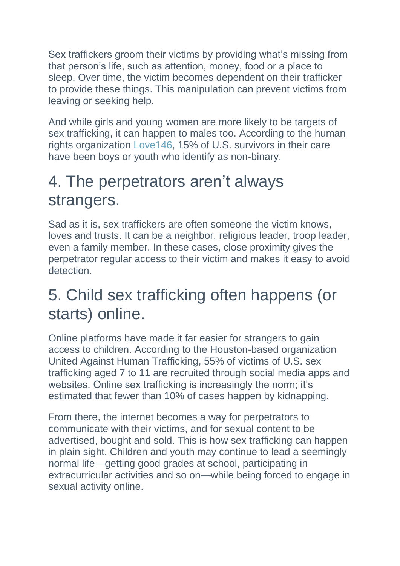Sex traffickers groom their victims by providing what's missing from that person's life, such as attention, money, food or a place to sleep. Over time, the victim becomes dependent on their trafficker to provide these things. This manipulation can prevent victims from leaving or seeking help.

And while girls and young women are more likely to be targets of sex trafficking, it can happen to males too. According to the human rights organization [Love146,](https://love146.org/) 15% of U.S. survivors in their care have been boys or youth who identify as non-binary.

# 4. The perpetrators aren't always strangers.

Sad as it is, sex traffickers are often someone the victim knows, loves and trusts. It can be a neighbor, religious leader, troop leader, even a family member. In these cases, close proximity gives the perpetrator regular access to their victim and makes it easy to avoid detection.

# 5. Child sex trafficking often happens (or starts) online.

Online platforms have made it far easier for strangers to gain access to children. According to the Houston-based organization United Against Human Trafficking, 55% of victims of U.S. sex trafficking aged 7 to 11 are recruited through social media apps and websites. Online sex trafficking is increasingly the norm; it's estimated that fewer than 10% of cases happen by kidnapping.

From there, the internet becomes a way for perpetrators to communicate with their victims, and for sexual content to be advertised, bought and sold. This is how sex trafficking can happen in plain sight. Children and youth may continue to lead a seemingly normal life—getting good grades at school, participating in extracurricular activities and so on—while being forced to engage in sexual activity online.